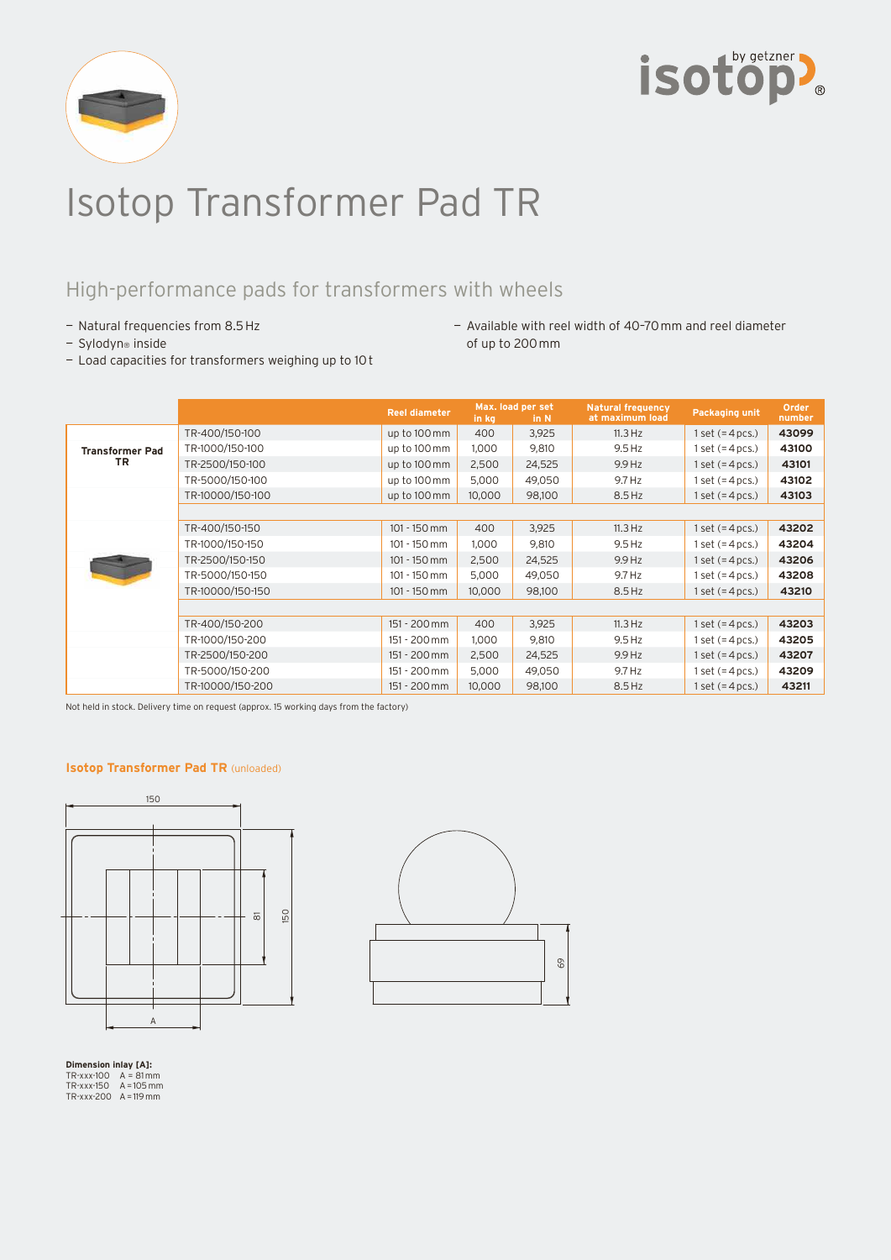



# Isotop Transformer Pad TR

## High-performance pads for transformers with wheels

- Natural frequencies from 8.5 Hz
- Sylodyn® inside
- Available with reel width of 40–70 mm and reel diameter of up to 200 mm
- Load capacities for transformers weighing up to 10 t

|                              |                  | <b>Reel diameter</b> | in kg  | Max. load per set<br>in N | <b>Natural frequency</b><br>at maximum load | <b>Packaging unit</b> | Order<br>number |
|------------------------------|------------------|----------------------|--------|---------------------------|---------------------------------------------|-----------------------|-----------------|
|                              | TR-400/150-100   | up to 100 mm         | 400    | 3,925                     | 11.3 Hz                                     | 1 set $(=4$ pcs.)     | 43099           |
| <b>Transformer Pad</b><br>TR | TR-1000/150-100  | up to 100 mm         | 1,000  | 9,810                     | $9.5$ Hz                                    | 1 set $(=4$ pcs.)     | 43100           |
|                              | TR-2500/150-100  | up to 100 mm         | 2,500  | 24,525                    | 9.9 Hz                                      | 1 set $(=4$ pcs.)     | 43101           |
|                              | TR-5000/150-100  | up to 100 mm         | 5,000  | 49,050                    | 9.7 Hz                                      | 1 set $(=4$ pcs.)     | 43102           |
|                              | TR-10000/150-100 | up to 100 mm         | 10,000 | 98,100                    | 8.5 Hz                                      | 1 set $(=4$ pcs.)     | 43103           |
|                              |                  |                      |        |                           |                                             |                       |                 |
|                              | TR-400/150-150   | $101 - 150$ mm       | 400    | 3,925                     | 11.3 Hz                                     | 1 set $(=4$ pcs.)     | 43202           |
|                              | TR-1000/150-150  | $101 - 150$ mm       | 1,000  | 9,810                     | $9.5$ Hz                                    | $1$ set $(=4$ pcs.)   | 43204           |
|                              | TR-2500/150-150  | $101 - 150$ mm       | 2,500  | 24,525                    | 9.9 Hz                                      | 1 set $(=4$ pcs.)     | 43206           |
|                              | TR-5000/150-150  | $101 - 150$ mm       | 5,000  | 49,050                    | 9.7 Hz                                      | 1 set $(=4$ pcs.)     | 43208           |
|                              | TR-10000/150-150 | $101 - 150$ mm       | 10,000 | 98,100                    | 8.5 Hz                                      | 1 set $(=4$ pcs.)     | 43210           |
|                              |                  |                      |        |                           |                                             |                       |                 |
|                              | TR-400/150-200   | 151 - 200 mm         | 400    | 3,925                     | 11.3 Hz                                     | 1 set $(=4$ pcs.)     | 43203           |
|                              | TR-1000/150-200  | 151 - 200 mm         | 1,000  | 9,810                     | $9.5$ Hz                                    | 1 set $(=4$ pcs.)     | 43205           |
|                              | TR-2500/150-200  | 151 - 200 mm         | 2,500  | 24,525                    | $9.9$ Hz                                    | 1 set $(=4$ pcs.)     | 43207           |
|                              | TR-5000/150-200  | 151 - 200 mm         | 5,000  | 49,050                    | 9.7 Hz                                      | 1 set $(=4$ pcs.)     | 43209           |
|                              | TR-10000/150-200 | 151 - 200 mm         | 10,000 | 98,100                    | 8.5 Hz                                      | 1 set $(=4$ pcs.)     | 43211           |

Not held in stock. Delivery time on request (approx. 15 working days from the factory)

#### **Isotop Transformer Pad TR** (unloaded)





**Dimension inlay [A]:** TR-xxx-100 A = 81 mm TR-xxx-150 A = 105 mm TR-xxx-200 A = 119 mm